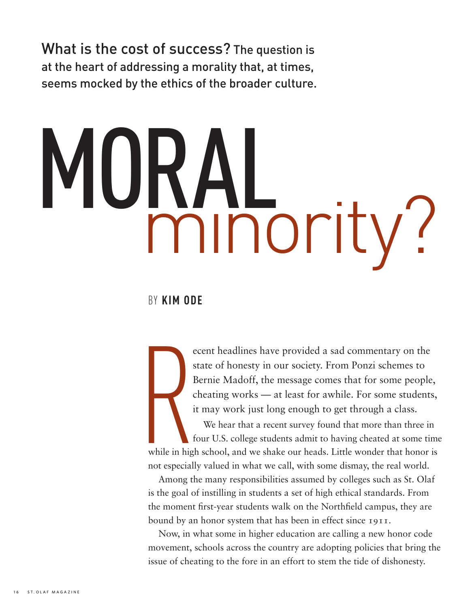What is the cost of success? The question is at the heart of addressing a morality that, at times, seems mocked by the ethics of the broader culture.

# IURAL<br>minority?

### by **Kim Ode**

ecent headlines have provided a sad commentary on the state of honesty in our society. From Ponzi schemes to Bernie Madoff, the message comes that for some people, cheating works — at least for awhile. For some students, it may work just long enough to get through a class.

S<br>
I<br>
i<br>
i<br>
i<br>
i<br>
f<br>
t<br>
f<br>
mhile in high<br>
not especiall We hear that a recent survey found that more than three in four U.S. college students admit to having cheated at some time while in high school, and we shake our heads. Little wonder that honor is not especially valued in what we call, with some dismay, the real world.

Among the many responsibilities assumed by colleges such as St. Olaf is the goal of instilling in students a set of high ethical standards. From the moment first-year students walk on the Northfield campus, they are bound by an honor system that has been in effect since 1911.

Now, in what some in higher education are calling a new honor code movement, schools across the country are adopting policies that bring the issue of cheating to the fore in an effort to stem the tide of dishonesty.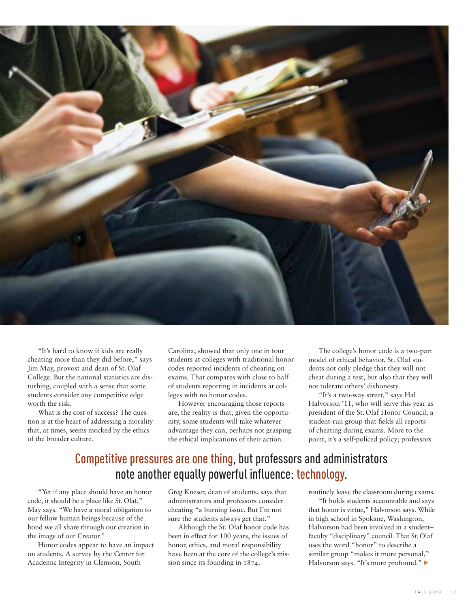

"It's hard to know if kids are really cheating more than they did before," says Jim May, provost and dean of St. Olaf College. But the national statistics are disturbing, coupled with a sense that some students consider any competitive edge worth the risk.

What is the cost of success? The question is at the heart of addressing a morality that, at times, seems mocked by the ethics of the broader culture.

Carolina, showed that only one in four students at colleges with traditional honor codes reported incidents of cheating on exams. That compares with close to half of students reporting in incidents at colleges with no honor codes.

However encouraging those reports are, the reality is that, given the opportunity, some students will take whatever advantage they can, perhaps not grasping the ethical implications of their action.

The college's honor code is a two-part model of ethical behavior. St. Olaf students not only pledge that they will not cheat during a test, but also that they will not tolerate others' dishonesty.

"It's a two-way street," says Hal Halvorson '11, who will serve this year as president of the St. Olaf Honor Council, a student-run group that fields all reports of cheating during exams. More to the point, it's a self-policed policy; professors

## Competitive pressures are one thing, but professors and administrators note another equally powerful influence: technology.

"Yet if any place should have an honor code, it should be a place like St. Olaf," May says. "We have a moral obligation to our fellow human beings because of the bond we all share through our creation in the image of our Creator."

Honor codes appear to have an impact on students. A survey by the Center for Academic Integrity in Clemson, South

Greg Kneser, dean of students, says that administrators and professors consider cheating "a burning issue. But I'm not sure the students always get that."

Although the St. Olaf honor code has been in effect for 100 years, the issues of honor, ethics, and moral responsibility have been at the core of the college's mission since its founding in 1874.

routinely leave the classroom during exams.

"It holds students accountable and says that honor is virtue," Halvorson says. While in high school in Spokane, Washington, Halvorson had been involved in a student– faculty "disciplinary" council. That St.Olaf uses the word "honor" to describe a similar group "makes it more personal," Halvorson says. "It's more profound."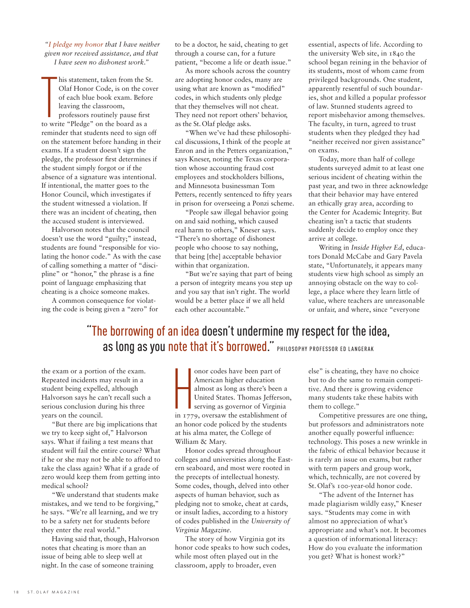*"I pledge my honor that I have neither given nor received assistance, and that I have seen no dishonest work."*

his statement, taken from the S<br>Olaf Honor Code, is on the co<br>of each blue book exam. Befor<br>leaving the classroom,<br>professors routinely pause first<br>to write "Pledge" on the board as a his statement, taken from the St. Olaf Honor Code, is on the cover of each blue book exam. Before leaving the classroom, professors routinely pause first reminder that students need to sign off on the statement before handing in their exams. If a student doesn't sign the pledge, the professor first determines if the student simply forgot or if the absence of a signature was intentional. If intentional, the matter goes to the Honor Council, which investigates if the student witnessed a violation. If there was an incident of cheating, then the accused student is interviewed.

Halvorson notes that the council doesn't use the word "guilty;" instead, students are found "responsible for violating the honor code." As with the case of calling something a matter of "discipline" or "honor," the phrase is a fine point of language emphasizing that cheating is a choice someone makes.

A common consequence for violating the code is being given a "zero" for

to be a doctor, he said, cheating to get through a course can, for a future patient, "become a life or death issue."

As more schools across the country are adopting honor codes, many are using what are known as "modified" codes, in which students only pledge that they themselves will not cheat. They need not report others' behavior, as the St.Olaf pledge asks.

"When we've had these philosophical discussions, I think of the people at Enron and in the Petters organization," says Kneser, noting the Texas corporation whose accounting fraud cost employees and stockholders billions, and Minnesota businessman Tom Petters, recently sentenced to fifty years in prison for overseeing a Ponzi scheme.

"People saw illegal behavior going on and said nothing, which caused real harm to others," Kneser says. "There's no shortage of dishonest people who choose to say nothing, that being [the] acceptable behavior within that organization.

"But we're saying that part of being a person of integrity means you step up and you say that isn't right. The world would be a better place if we all held each other accountable."

essential, aspects of life. According to the university Web site, in 1840 the school began reining in the behavior of its students, most of whom came from privileged backgrounds. One student, apparently resentful of such boundaries, shot and killed a popular professor of law. Stunned students agreed to report misbehavior among themselves. The faculty, in turn, agreed to trust students when they pledged they had "neither received nor given assistance" on exams.

Today, more than half of college students surveyed admit to at least one serious incident of cheating within the past year, and two in three acknowledge that their behavior may have entered an ethically gray area, according to the Center for Academic Integrity. But cheating isn't a tactic that students suddenly decide to employ once they arrive at college.

Writing in *Inside Higher Ed*, educators Donald McCabe and Gary Pavela state, "Unfortunately, it appears many students view high school as simply an annoying obstacle on the way to college, a place where they learn little of value, where teachers are unreasonable or unfair, and where, since "everyone

## "The borrowing of an idea doesn't undermine my respect for the idea, as long as you note that it's borrowed." PHILOSOPHY PROFESSOR ED LANGERAK

the exam or a portion of the exam. Repeated incidents may result in a student being expelled, although Halvorson says he can't recall such a serious conclusion during his three years on the council.

"But there are big implications that we try to keep sight of," Halvorson says. What if failing a test means that student will fail the entire course? What if he or she may not be able to afford to take the class again? What if a grade of zero would keep them from getting into medical school?

"We understand that students make mistakes, and we tend to be forgiving," he says. "We're all learning, and we try to be a safety net for students before they enter the real world."

Having said that, though, Halvorson notes that cheating is more than an issue of being able to sleep well at night. In the case of someone training

 $\prod_{\substack{\text{in }T/7}}$ onor codes have been part of American higher education almost as long as there's been a United States. Thomas Jefferson, serving as governor of Virginia in 1779, oversaw the establishment of an honor code policed by the students at his alma mater, the College of William & Mary.

Honor codes spread throughout colleges and universities along the Eastern seaboard, and most were rooted in the precepts of intellectual honesty. Some codes, though, delved into other aspects of human behavior, such as pledging not to smoke, cheat at cards, or insult ladies, according to a history of codes published in the *University of Virginia Magazine*.

The story of how Virginia got its honor code speaks to how such codes, while most often played out in the classroom, apply to broader, even

else" is cheating, they have no choice but to do the same to remain competitive. And there is growing evidence many students take these habits with them to college."

Competitive pressures are one thing, but professors and administrators note another equally powerful influence: technology. This poses a new wrinkle in the fabric of ethical behavior because it is rarely an issue on exams, but rather with term papers and group work, which, technically, are not covered by St. Olaf's 100-year-old honor code.

"The advent of the Internet has made plagiarism wildly easy," Kneser says. "Students may come in with almost no appreciation of what's appropriate and what's not. It becomes a question of informational literacy: How do you evaluate the information you get? What is honest work?"